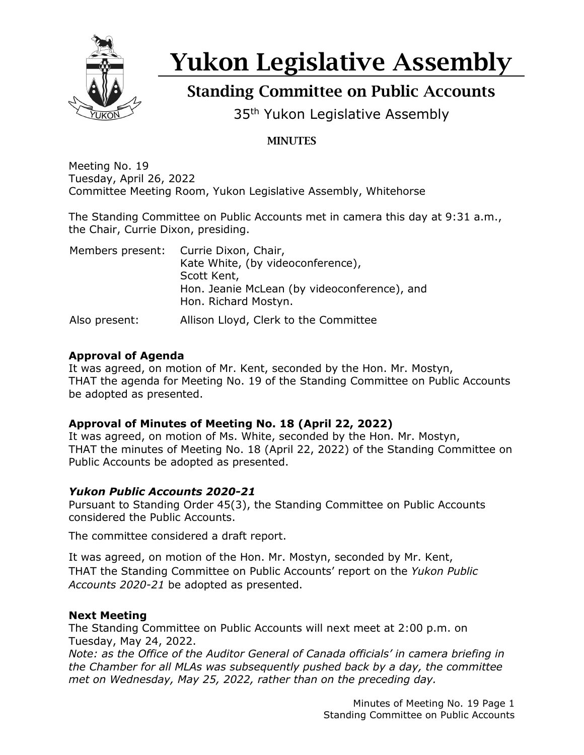

# Yukon Legislative Assembly

## Standing Committee on Public Accounts

35<sup>th</sup> Yukon Legislative Assembly

### **MINUTES**

Meeting No. 19 Tuesday, April 26, 2022 Committee Meeting Room, Yukon Legislative Assembly, Whitehorse

The Standing Committee on Public Accounts met in camera this day at 9:31 a.m., the Chair, Currie Dixon, presiding.

|               | Members present: Currie Dixon, Chair,<br>Kate White, (by videoconference),<br>Scott Kent,<br>Hon. Jeanie McLean (by videoconference), and |
|---------------|-------------------------------------------------------------------------------------------------------------------------------------------|
|               | Hon. Richard Mostyn.                                                                                                                      |
| Also present: | Allison Lloyd, Clerk to the Committee                                                                                                     |

#### **Approval of Agenda**

It was agreed, on motion of Mr. Kent, seconded by the Hon. Mr. Mostyn, THAT the agenda for Meeting No. 19 of the Standing Committee on Public Accounts be adopted as presented.

#### **Approval of Minutes of Meeting No. 18 (April 22, 2022)**

It was agreed, on motion of Ms. White, seconded by the Hon. Mr. Mostyn, THAT the minutes of Meeting No. 18 (April 22, 2022) of the Standing Committee on Public Accounts be adopted as presented.

#### *Yukon Public Accounts 2020-21*

Pursuant to Standing Order 45(3), the Standing Committee on Public Accounts considered the Public Accounts.

The committee considered a draft report.

It was agreed, on motion of the Hon. Mr. Mostyn, seconded by Mr. Kent, THAT the Standing Committee on Public Accounts' report on the *Yukon Public Accounts 2020-21* be adopted as presented.

#### **Next Meeting**

The Standing Committee on Public Accounts will next meet at 2:00 p.m. on Tuesday, May 24, 2022.

*Note: as the Office of the Auditor General of Canada officials' in camera briefing in the Chamber for all MLAs was subsequently pushed back by a day, the committee met on Wednesday, May 25, 2022, rather than on the preceding day.*